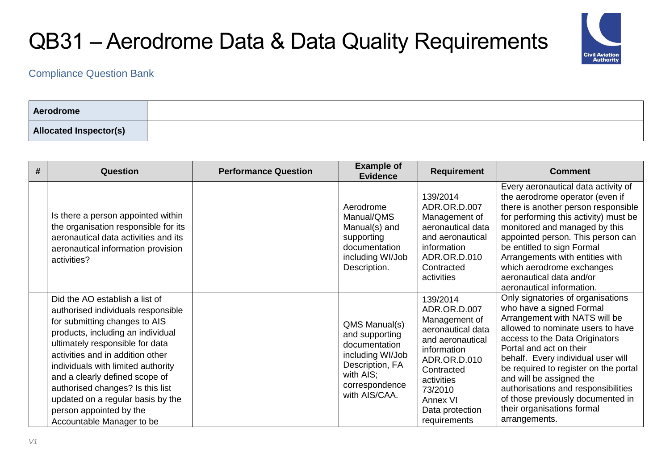

| Aerodrome                     |  |
|-------------------------------|--|
| <b>Allocated Inspector(s)</b> |  |

| # | Question                                                                                                                                                                                                                                                                                                                                                                                                                   | <b>Performance Question</b> | <b>Example of</b><br><b>Evidence</b>                                                                                                    | <b>Requirement</b>                                                                                                                                                                                      | <b>Comment</b>                                                                                                                                                                                                                                                                                                                                                                                                                         |
|---|----------------------------------------------------------------------------------------------------------------------------------------------------------------------------------------------------------------------------------------------------------------------------------------------------------------------------------------------------------------------------------------------------------------------------|-----------------------------|-----------------------------------------------------------------------------------------------------------------------------------------|---------------------------------------------------------------------------------------------------------------------------------------------------------------------------------------------------------|----------------------------------------------------------------------------------------------------------------------------------------------------------------------------------------------------------------------------------------------------------------------------------------------------------------------------------------------------------------------------------------------------------------------------------------|
|   | Is there a person appointed within<br>the organisation responsible for its<br>aeronautical data activities and its<br>aeronautical information provision<br>activities?                                                                                                                                                                                                                                                    |                             | Aerodrome<br>Manual/QMS<br>Manual(s) and<br>supporting<br>documentation<br>including WI/Job<br>Description.                             | 139/2014<br>ADR.OR.D.007<br>Management of<br>aeronautical data<br>and aeronautical<br>information<br>ADR.OR.D.010<br>Contracted<br>activities                                                           | Every aeronautical data activity of<br>the aerodrome operator (even if<br>there is another person responsible<br>for performing this activity) must be<br>monitored and managed by this<br>appointed person. This person can<br>be entitled to sign Formal<br>Arrangements with entities with<br>which aerodrome exchanges<br>aeronautical data and/or<br>aeronautical information.                                                    |
|   | Did the AO establish a list of<br>authorised individuals responsible<br>for submitting changes to AIS<br>products, including an individual<br>ultimately responsible for data<br>activities and in addition other<br>individuals with limited authority<br>and a clearly defined scope of<br>authorised changes? Is this list<br>updated on a regular basis by the<br>person appointed by the<br>Accountable Manager to be |                             | QMS Manual(s)<br>and supporting<br>documentation<br>including WI/Job<br>Description, FA<br>with AIS;<br>correspondence<br>with AIS/CAA. | 139/2014<br>ADR.OR.D.007<br>Management of<br>aeronautical data<br>and aeronautical<br>information<br>ADR.OR.D.010<br>Contracted<br>activities<br>73/2010<br>Annex VI<br>Data protection<br>requirements | Only signatories of organisations<br>who have a signed Formal<br>Arrangement with NATS will be<br>allowed to nominate users to have<br>access to the Data Originators<br>Portal and act on their<br>behalf. Every individual user will<br>be required to register on the portal<br>and will be assigned the<br>authorisations and responsibilities<br>of those previously documented in<br>their organisations formal<br>arrangements. |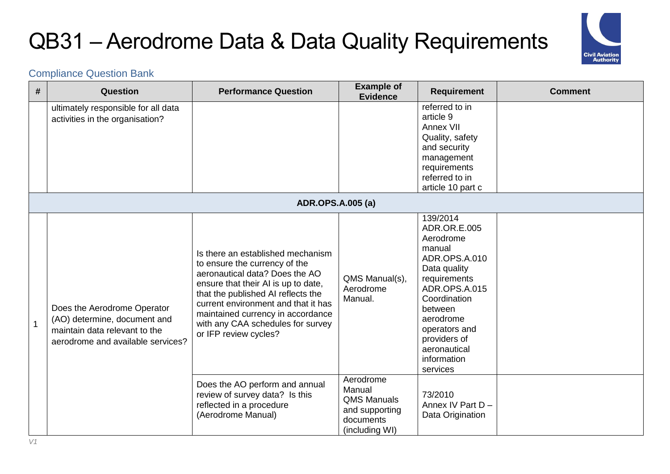

| #            | <b>Question</b>                                                                                                                   | <b>Performance Question</b>                                                                                                                                                                                                                                                                                                 | <b>Example of</b><br><b>Evidence</b>                                                       | <b>Requirement</b>                                                                                                                                                                                                                    | <b>Comment</b> |
|--------------|-----------------------------------------------------------------------------------------------------------------------------------|-----------------------------------------------------------------------------------------------------------------------------------------------------------------------------------------------------------------------------------------------------------------------------------------------------------------------------|--------------------------------------------------------------------------------------------|---------------------------------------------------------------------------------------------------------------------------------------------------------------------------------------------------------------------------------------|----------------|
|              | ultimately responsible for all data<br>activities in the organisation?                                                            |                                                                                                                                                                                                                                                                                                                             |                                                                                            | referred to in<br>article 9<br>Annex VII<br>Quality, safety<br>and security<br>management<br>requirements<br>referred to in<br>article 10 part c                                                                                      |                |
|              |                                                                                                                                   | <b>ADR.OPS.A.005 (a)</b>                                                                                                                                                                                                                                                                                                    |                                                                                            |                                                                                                                                                                                                                                       |                |
| $\mathbf{1}$ | Does the Aerodrome Operator<br>(AO) determine, document and<br>maintain data relevant to the<br>aerodrome and available services? | Is there an established mechanism<br>to ensure the currency of the<br>aeronautical data? Does the AO<br>ensure that their AI is up to date,<br>that the published AI reflects the<br>current environment and that it has<br>maintained currency in accordance<br>with any CAA schedules for survey<br>or IFP review cycles? | QMS Manual(s),<br>Aerodrome<br>Manual.                                                     | 139/2014<br>ADR.OR.E.005<br>Aerodrome<br>manual<br>ADR.OPS.A.010<br>Data quality<br>requirements<br>ADR.OPS.A.015<br>Coordination<br>between<br>aerodrome<br>operators and<br>providers of<br>aeronautical<br>information<br>services |                |
|              |                                                                                                                                   | Does the AO perform and annual<br>review of survey data? Is this<br>reflected in a procedure<br>(Aerodrome Manual)                                                                                                                                                                                                          | Aerodrome<br>Manual<br><b>QMS Manuals</b><br>and supporting<br>documents<br>(including WI) | 73/2010<br>Annex IV Part D -<br>Data Origination                                                                                                                                                                                      |                |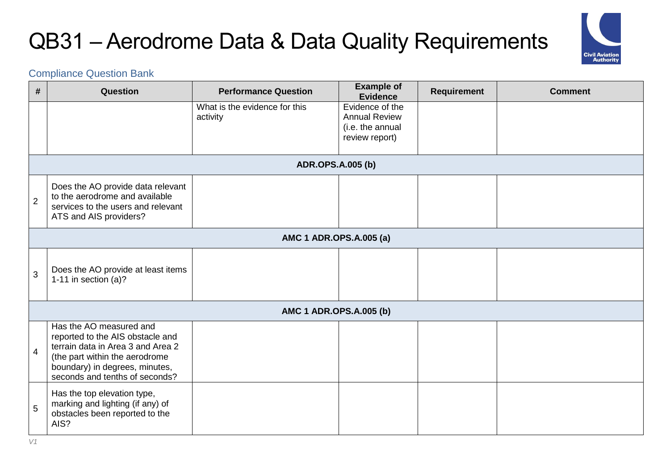

| #              | Question                                                                                                                                                                                               | <b>Performance Question</b>               | <b>Example of</b><br><b>Evidence</b>                                          | <b>Requirement</b> | <b>Comment</b> |
|----------------|--------------------------------------------------------------------------------------------------------------------------------------------------------------------------------------------------------|-------------------------------------------|-------------------------------------------------------------------------------|--------------------|----------------|
|                |                                                                                                                                                                                                        | What is the evidence for this<br>activity | Evidence of the<br><b>Annual Review</b><br>(i.e. the annual<br>review report) |                    |                |
|                |                                                                                                                                                                                                        | <b>ADR.OPS.A.005 (b)</b>                  |                                                                               |                    |                |
| $\overline{2}$ | Does the AO provide data relevant<br>to the aerodrome and available<br>services to the users and relevant<br>ATS and AIS providers?                                                                    |                                           |                                                                               |                    |                |
|                |                                                                                                                                                                                                        | AMC 1 ADR.OPS.A.005 (a)                   |                                                                               |                    |                |
| 3              | Does the AO provide at least items<br>1-11 in section $(a)?$                                                                                                                                           |                                           |                                                                               |                    |                |
|                |                                                                                                                                                                                                        | AMC 1 ADR.OPS.A.005 (b)                   |                                                                               |                    |                |
| $\overline{4}$ | Has the AO measured and<br>reported to the AIS obstacle and<br>terrain data in Area 3 and Area 2<br>(the part within the aerodrome<br>boundary) in degrees, minutes,<br>seconds and tenths of seconds? |                                           |                                                                               |                    |                |
| 5              | Has the top elevation type,<br>marking and lighting (if any) of<br>obstacles been reported to the<br>AIS?                                                                                              |                                           |                                                                               |                    |                |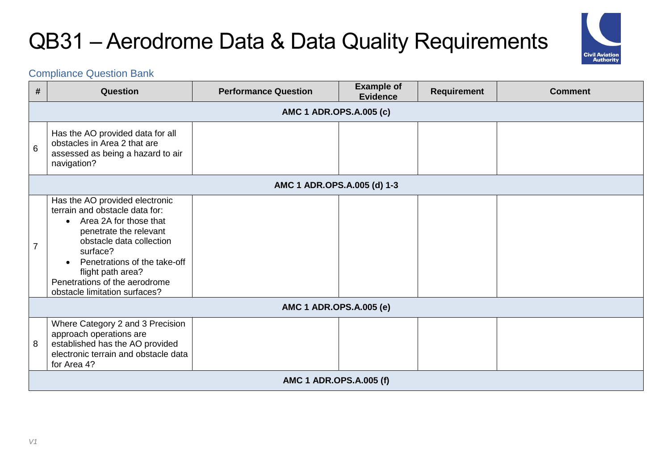

| #              | Question                                                                                                                                                                                                                                                                              | <b>Performance Question</b> | <b>Example of</b><br><b>Evidence</b> | <b>Requirement</b> | <b>Comment</b> |  |  |  |
|----------------|---------------------------------------------------------------------------------------------------------------------------------------------------------------------------------------------------------------------------------------------------------------------------------------|-----------------------------|--------------------------------------|--------------------|----------------|--|--|--|
|                | AMC 1 ADR.OPS.A.005 (c)                                                                                                                                                                                                                                                               |                             |                                      |                    |                |  |  |  |
| 6              | Has the AO provided data for all<br>obstacles in Area 2 that are<br>assessed as being a hazard to air<br>navigation?                                                                                                                                                                  |                             |                                      |                    |                |  |  |  |
|                | AMC 1 ADR.OPS.A.005 (d) 1-3                                                                                                                                                                                                                                                           |                             |                                      |                    |                |  |  |  |
| $\overline{7}$ | Has the AO provided electronic<br>terrain and obstacle data for:<br>• Area 2A for those that<br>penetrate the relevant<br>obstacle data collection<br>surface?<br>Penetrations of the take-off<br>flight path area?<br>Penetrations of the aerodrome<br>obstacle limitation surfaces? |                             |                                      |                    |                |  |  |  |
|                |                                                                                                                                                                                                                                                                                       | AMC 1 ADR.OPS.A.005 (e)     |                                      |                    |                |  |  |  |
| 8              | Where Category 2 and 3 Precision<br>approach operations are<br>established has the AO provided<br>electronic terrain and obstacle data<br>for Area 4?                                                                                                                                 |                             |                                      |                    |                |  |  |  |
|                | AMC 1 ADR.OPS.A.005 (f)                                                                                                                                                                                                                                                               |                             |                                      |                    |                |  |  |  |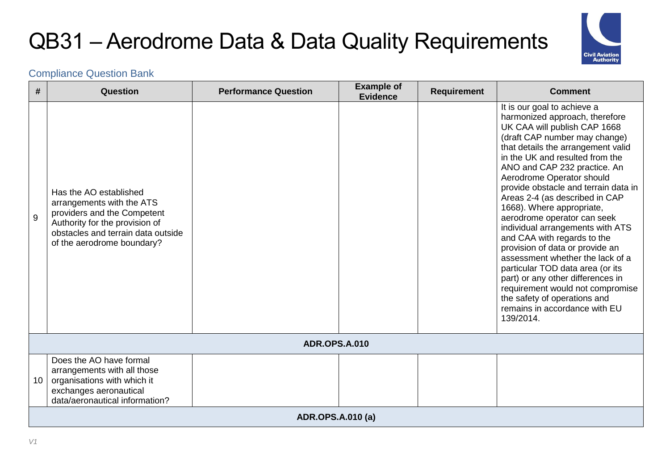

| #  | Question                                                                                                                                                                                 | <b>Performance Question</b> | <b>Example of</b><br><b>Evidence</b> | <b>Requirement</b> | <b>Comment</b>                                                                                                                                                                                                                                                                                                                                                                                                                                                                                                                                                                                                                                                                                                                                  |  |  |
|----|------------------------------------------------------------------------------------------------------------------------------------------------------------------------------------------|-----------------------------|--------------------------------------|--------------------|-------------------------------------------------------------------------------------------------------------------------------------------------------------------------------------------------------------------------------------------------------------------------------------------------------------------------------------------------------------------------------------------------------------------------------------------------------------------------------------------------------------------------------------------------------------------------------------------------------------------------------------------------------------------------------------------------------------------------------------------------|--|--|
| 9  | Has the AO established<br>arrangements with the ATS<br>providers and the Competent<br>Authority for the provision of<br>obstacles and terrain data outside<br>of the aerodrome boundary? |                             |                                      |                    | It is our goal to achieve a<br>harmonized approach, therefore<br>UK CAA will publish CAP 1668<br>(draft CAP number may change)<br>that details the arrangement valid<br>in the UK and resulted from the<br>ANO and CAP 232 practice. An<br>Aerodrome Operator should<br>provide obstacle and terrain data in<br>Areas 2-4 (as described in CAP<br>1668). Where appropriate,<br>aerodrome operator can seek<br>individual arrangements with ATS<br>and CAA with regards to the<br>provision of data or provide an<br>assessment whether the lack of a<br>particular TOD data area (or its<br>part) or any other differences in<br>requirement would not compromise<br>the safety of operations and<br>remains in accordance with EU<br>139/2014. |  |  |
|    |                                                                                                                                                                                          | <b>ADR.OPS.A.010</b>        |                                      |                    |                                                                                                                                                                                                                                                                                                                                                                                                                                                                                                                                                                                                                                                                                                                                                 |  |  |
| 10 | Does the AO have formal<br>arrangements with all those<br>organisations with which it<br>exchanges aeronautical<br>data/aeronautical information?                                        |                             |                                      |                    |                                                                                                                                                                                                                                                                                                                                                                                                                                                                                                                                                                                                                                                                                                                                                 |  |  |
|    | <b>ADR.OPS.A.010 (a)</b>                                                                                                                                                                 |                             |                                      |                    |                                                                                                                                                                                                                                                                                                                                                                                                                                                                                                                                                                                                                                                                                                                                                 |  |  |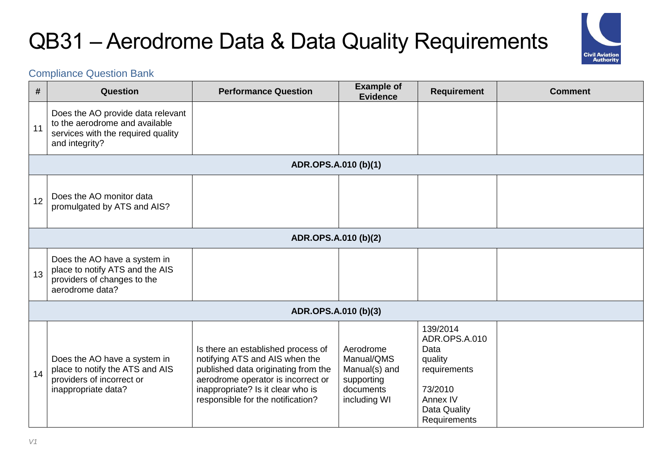

| #  | Question                                                                                                                    | <b>Performance Question</b>                                                                                                                                                                                                 | <b>Example of</b><br><b>Evidence</b>                                                | <b>Requirement</b>                                                                                                  | <b>Comment</b> |
|----|-----------------------------------------------------------------------------------------------------------------------------|-----------------------------------------------------------------------------------------------------------------------------------------------------------------------------------------------------------------------------|-------------------------------------------------------------------------------------|---------------------------------------------------------------------------------------------------------------------|----------------|
| 11 | Does the AO provide data relevant<br>to the aerodrome and available<br>services with the required quality<br>and integrity? |                                                                                                                                                                                                                             |                                                                                     |                                                                                                                     |                |
|    |                                                                                                                             | ADR.OPS.A.010 (b)(1)                                                                                                                                                                                                        |                                                                                     |                                                                                                                     |                |
| 12 | Does the AO monitor data<br>promulgated by ATS and AIS?                                                                     |                                                                                                                                                                                                                             |                                                                                     |                                                                                                                     |                |
|    |                                                                                                                             | ADR.OPS.A.010 (b)(2)                                                                                                                                                                                                        |                                                                                     |                                                                                                                     |                |
| 13 | Does the AO have a system in<br>place to notify ATS and the AIS<br>providers of changes to the<br>aerodrome data?           |                                                                                                                                                                                                                             |                                                                                     |                                                                                                                     |                |
|    |                                                                                                                             | ADR.OPS.A.010 (b)(3)                                                                                                                                                                                                        |                                                                                     |                                                                                                                     |                |
| 14 | Does the AO have a system in<br>place to notify the ATS and AIS<br>providers of incorrect or<br>inappropriate data?         | Is there an established process of<br>notifying ATS and AIS when the<br>published data originating from the<br>aerodrome operator is incorrect or<br>inappropriate? Is it clear who is<br>responsible for the notification? | Aerodrome<br>Manual/QMS<br>Manual(s) and<br>supporting<br>documents<br>including WI | 139/2014<br>ADR.OPS.A.010<br>Data<br>quality<br>requirements<br>73/2010<br>Annex IV<br>Data Quality<br>Requirements |                |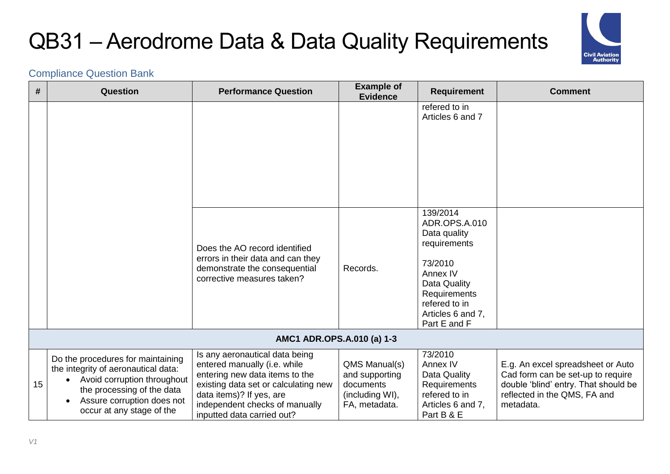

| #  | Question                                                                                                                                                                                                      | <b>Performance Question</b>                                                                                                                                                                                                          | <b>Example of</b><br><b>Evidence</b>                                             | <b>Requirement</b>                                                                                                                                                     | <b>Comment</b>                                                                                                                                              |
|----|---------------------------------------------------------------------------------------------------------------------------------------------------------------------------------------------------------------|--------------------------------------------------------------------------------------------------------------------------------------------------------------------------------------------------------------------------------------|----------------------------------------------------------------------------------|------------------------------------------------------------------------------------------------------------------------------------------------------------------------|-------------------------------------------------------------------------------------------------------------------------------------------------------------|
|    |                                                                                                                                                                                                               |                                                                                                                                                                                                                                      |                                                                                  | refered to in<br>Articles 6 and 7                                                                                                                                      |                                                                                                                                                             |
|    |                                                                                                                                                                                                               | Does the AO record identified<br>errors in their data and can they<br>demonstrate the consequential<br>corrective measures taken?                                                                                                    | Records.                                                                         | 139/2014<br>ADR.OPS.A.010<br>Data quality<br>requirements<br>73/2010<br>Annex IV<br>Data Quality<br>Requirements<br>refered to in<br>Articles 6 and 7,<br>Part E and F |                                                                                                                                                             |
|    |                                                                                                                                                                                                               | AMC1 ADR.OPS.A.010 (a) 1-3                                                                                                                                                                                                           |                                                                                  |                                                                                                                                                                        |                                                                                                                                                             |
| 15 | Do the procedures for maintaining<br>the integrity of aeronautical data:<br>Avoid corruption throughout<br>the processing of the data<br>Assure corruption does not<br>$\bullet$<br>occur at any stage of the | Is any aeronautical data being<br>entered manually (i.e. while<br>entering new data items to the<br>existing data set or calculating new<br>data items)? If yes, are<br>independent checks of manually<br>inputted data carried out? | QMS Manual(s)<br>and supporting<br>documents<br>(including WI),<br>FA, metadata. | 73/2010<br>Annex IV<br>Data Quality<br>Requirements<br>refered to in<br>Articles 6 and 7,<br>Part B & E                                                                | E.g. An excel spreadsheet or Auto<br>Cad form can be set-up to require<br>double 'blind' entry. That should be<br>reflected in the QMS, FA and<br>metadata. |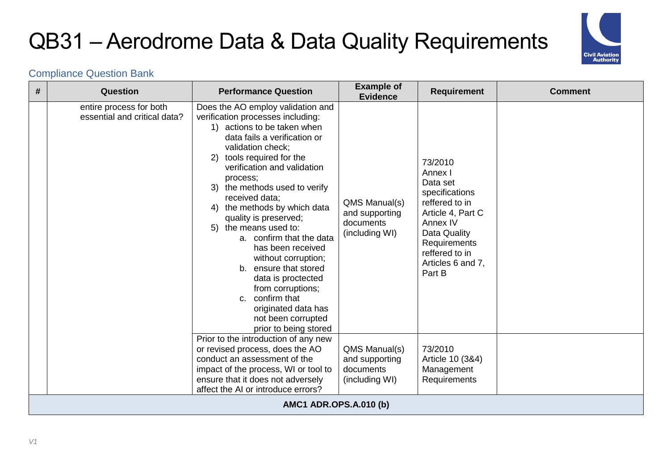

| # | <b>Question</b>                                         | <b>Performance Question</b>                                                                                                                                                                                                                                                                                                                                                                                                                                                                                                                                                                                                 | <b>Example of</b><br><b>Evidence</b>                           | <b>Requirement</b>                                                                                                                                                                   | <b>Comment</b> |
|---|---------------------------------------------------------|-----------------------------------------------------------------------------------------------------------------------------------------------------------------------------------------------------------------------------------------------------------------------------------------------------------------------------------------------------------------------------------------------------------------------------------------------------------------------------------------------------------------------------------------------------------------------------------------------------------------------------|----------------------------------------------------------------|--------------------------------------------------------------------------------------------------------------------------------------------------------------------------------------|----------------|
|   | entire process for both<br>essential and critical data? | Does the AO employ validation and<br>verification processes including:<br>1) actions to be taken when<br>data fails a verification or<br>validation check;<br>tools required for the<br>2)<br>verification and validation<br>process;<br>3) the methods used to verify<br>received data;<br>the methods by which data<br>4)<br>quality is preserved;<br>the means used to:<br>5)<br>a. confirm that the data<br>has been received<br>without corruption;<br>ensure that stored<br>b.<br>data is proctected<br>from corruptions;<br>confirm that<br>C.<br>originated data has<br>not been corrupted<br>prior to being stored | QMS Manual(s)<br>and supporting<br>documents<br>(including WI) | 73/2010<br>Annex I<br>Data set<br>specifications<br>reffered to in<br>Article 4, Part C<br>Annex IV<br>Data Quality<br>Requirements<br>reffered to in<br>Articles 6 and 7,<br>Part B |                |
|   |                                                         | Prior to the introduction of any new<br>or revised process, does the AO<br>conduct an assessment of the<br>impact of the process, WI or tool to<br>ensure that it does not adversely<br>affect the AI or introduce errors?                                                                                                                                                                                                                                                                                                                                                                                                  | QMS Manual(s)<br>and supporting<br>documents<br>(including WI) | 73/2010<br>Article 10 (3&4)<br>Management<br>Requirements                                                                                                                            |                |
|   |                                                         | <b>AMC1 ADR.OPS.A.010 (b)</b>                                                                                                                                                                                                                                                                                                                                                                                                                                                                                                                                                                                               |                                                                |                                                                                                                                                                                      |                |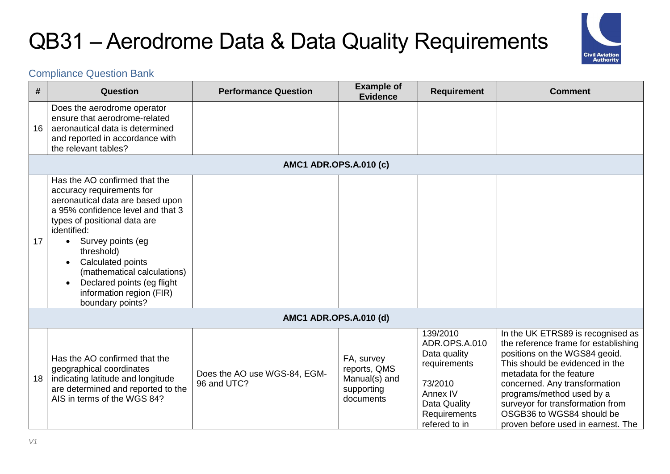

| #  | Question                                                                                                                                                                                                                                                                                                                                                             | <b>Performance Question</b>                 | <b>Example of</b><br><b>Evidence</b>                                   | <b>Requirement</b>                                                                                                                | <b>Comment</b>                                                                                                                                                                                                                                                                                                                                 |
|----|----------------------------------------------------------------------------------------------------------------------------------------------------------------------------------------------------------------------------------------------------------------------------------------------------------------------------------------------------------------------|---------------------------------------------|------------------------------------------------------------------------|-----------------------------------------------------------------------------------------------------------------------------------|------------------------------------------------------------------------------------------------------------------------------------------------------------------------------------------------------------------------------------------------------------------------------------------------------------------------------------------------|
| 16 | Does the aerodrome operator<br>ensure that aerodrome-related<br>aeronautical data is determined<br>and reported in accordance with<br>the relevant tables?                                                                                                                                                                                                           |                                             |                                                                        |                                                                                                                                   |                                                                                                                                                                                                                                                                                                                                                |
|    |                                                                                                                                                                                                                                                                                                                                                                      | <b>AMC1 ADR.OPS.A.010 (c)</b>               |                                                                        |                                                                                                                                   |                                                                                                                                                                                                                                                                                                                                                |
| 17 | Has the AO confirmed that the<br>accuracy requirements for<br>aeronautical data are based upon<br>a 95% confidence level and that 3<br>types of positional data are<br>identified:<br>Survey points (eg<br>$\bullet$<br>threshold)<br>Calculated points<br>(mathematical calculations)<br>Declared points (eg flight<br>information region (FIR)<br>boundary points? |                                             |                                                                        |                                                                                                                                   |                                                                                                                                                                                                                                                                                                                                                |
|    |                                                                                                                                                                                                                                                                                                                                                                      | <b>AMC1 ADR.OPS.A.010 (d)</b>               |                                                                        |                                                                                                                                   |                                                                                                                                                                                                                                                                                                                                                |
| 18 | Has the AO confirmed that the<br>geographical coordinates<br>indicating latitude and longitude<br>are determined and reported to the<br>AIS in terms of the WGS 84?                                                                                                                                                                                                  | Does the AO use WGS-84, EGM-<br>96 and UTC? | FA, survey<br>reports, QMS<br>Manual(s) and<br>supporting<br>documents | 139/2010<br>ADR.OPS.A.010<br>Data quality<br>requirements<br>73/2010<br>Annex IV<br>Data Quality<br>Requirements<br>refered to in | In the UK ETRS89 is recognised as<br>the reference frame for establishing<br>positions on the WGS84 geoid.<br>This should be evidenced in the<br>metadata for the feature<br>concerned. Any transformation<br>programs/method used by a<br>surveyor for transformation from<br>OSGB36 to WGS84 should be<br>proven before used in earnest. The |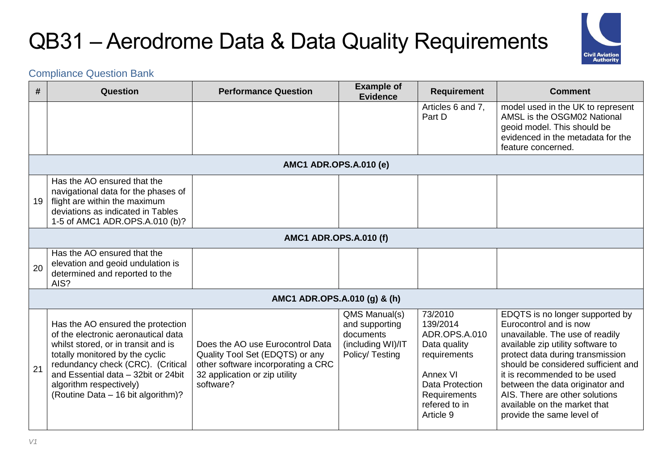

| #  | Question                                                                                                                                                                                                                                                                                        | <b>Performance Question</b>                                                                                                                             | <b>Example of</b><br><b>Evidence</b>                                                 | <b>Requirement</b>                                                                                                                                       | <b>Comment</b>                                                                                                                                                                                                                                                                                                                                                                 |
|----|-------------------------------------------------------------------------------------------------------------------------------------------------------------------------------------------------------------------------------------------------------------------------------------------------|---------------------------------------------------------------------------------------------------------------------------------------------------------|--------------------------------------------------------------------------------------|----------------------------------------------------------------------------------------------------------------------------------------------------------|--------------------------------------------------------------------------------------------------------------------------------------------------------------------------------------------------------------------------------------------------------------------------------------------------------------------------------------------------------------------------------|
|    |                                                                                                                                                                                                                                                                                                 |                                                                                                                                                         |                                                                                      | Articles 6 and 7,<br>Part D                                                                                                                              | model used in the UK to represent<br>AMSL is the OSGM02 National<br>geoid model. This should be<br>evidenced in the metadata for the<br>feature concerned.                                                                                                                                                                                                                     |
|    |                                                                                                                                                                                                                                                                                                 | <b>AMC1 ADR.OPS.A.010 (e)</b>                                                                                                                           |                                                                                      |                                                                                                                                                          |                                                                                                                                                                                                                                                                                                                                                                                |
| 19 | Has the AO ensured that the<br>navigational data for the phases of<br>flight are within the maximum<br>deviations as indicated in Tables<br>1-5 of AMC1 ADR.OPS.A.010 (b)?                                                                                                                      |                                                                                                                                                         |                                                                                      |                                                                                                                                                          |                                                                                                                                                                                                                                                                                                                                                                                |
|    |                                                                                                                                                                                                                                                                                                 | <b>AMC1 ADR.OPS.A.010 (f)</b>                                                                                                                           |                                                                                      |                                                                                                                                                          |                                                                                                                                                                                                                                                                                                                                                                                |
| 20 | Has the AO ensured that the<br>elevation and geoid undulation is<br>determined and reported to the<br>AIS?                                                                                                                                                                                      |                                                                                                                                                         |                                                                                      |                                                                                                                                                          |                                                                                                                                                                                                                                                                                                                                                                                |
|    |                                                                                                                                                                                                                                                                                                 | AMC1 ADR.OPS.A.010 (g) & (h)                                                                                                                            |                                                                                      |                                                                                                                                                          |                                                                                                                                                                                                                                                                                                                                                                                |
| 21 | Has the AO ensured the protection<br>of the electronic aeronautical data<br>whilst stored, or in transit and is<br>totally monitored by the cyclic<br>redundancy check (CRC). (Critical<br>and Essential data - 32bit or 24bit<br>algorithm respectively)<br>(Routine Data - 16 bit algorithm)? | Does the AO use Eurocontrol Data<br>Quality Tool Set (EDQTS) or any<br>other software incorporating a CRC<br>32 application or zip utility<br>software? | QMS Manual(s)<br>and supporting<br>documents<br>(including WI)/IT<br>Policy/ Testing | 73/2010<br>139/2014<br>ADR.OPS.A.010<br>Data quality<br>requirements<br>Annex VI<br><b>Data Protection</b><br>Requirements<br>refered to in<br>Article 9 | EDQTS is no longer supported by<br>Eurocontrol and is now<br>unavailable. The use of readily<br>available zip utility software to<br>protect data during transmission<br>should be considered sufficient and<br>it is recommended to be used<br>between the data originator and<br>AIS. There are other solutions<br>available on the market that<br>provide the same level of |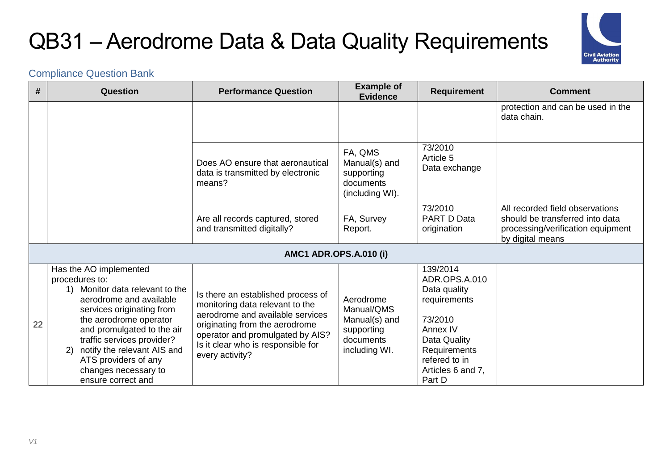

| #  | Question                                                                                                                                                                                                                                                                                                                                | <b>Performance Question</b>                                                                                                                                                                                                              | <b>Example of</b><br><b>Evidence</b>                                                 | <b>Requirement</b>                                                                                                                                               | <b>Comment</b>                                                                                                              |
|----|-----------------------------------------------------------------------------------------------------------------------------------------------------------------------------------------------------------------------------------------------------------------------------------------------------------------------------------------|------------------------------------------------------------------------------------------------------------------------------------------------------------------------------------------------------------------------------------------|--------------------------------------------------------------------------------------|------------------------------------------------------------------------------------------------------------------------------------------------------------------|-----------------------------------------------------------------------------------------------------------------------------|
|    |                                                                                                                                                                                                                                                                                                                                         |                                                                                                                                                                                                                                          |                                                                                      |                                                                                                                                                                  | protection and can be used in the<br>data chain.                                                                            |
|    |                                                                                                                                                                                                                                                                                                                                         | Does AO ensure that aeronautical<br>data is transmitted by electronic<br>means?                                                                                                                                                          | FA, QMS<br>Manual(s) and<br>supporting<br>documents<br>(including WI).               | 73/2010<br>Article 5<br>Data exchange                                                                                                                            |                                                                                                                             |
|    |                                                                                                                                                                                                                                                                                                                                         | Are all records captured, stored<br>and transmitted digitally?                                                                                                                                                                           | FA, Survey<br>Report.                                                                | 73/2010<br>PART D Data<br>origination                                                                                                                            | All recorded field observations<br>should be transferred into data<br>processing/verification equipment<br>by digital means |
|    |                                                                                                                                                                                                                                                                                                                                         | <b>AMC1 ADR.OPS.A.010 (i)</b>                                                                                                                                                                                                            |                                                                                      |                                                                                                                                                                  |                                                                                                                             |
| 22 | Has the AO implemented<br>procedures to:<br>Monitor data relevant to the<br>1)<br>aerodrome and available<br>services originating from<br>the aerodrome operator<br>and promulgated to the air<br>traffic services provider?<br>notify the relevant AIS and<br>2)<br>ATS providers of any<br>changes necessary to<br>ensure correct and | Is there an established process of<br>monitoring data relevant to the<br>aerodrome and available services<br>originating from the aerodrome<br>operator and promulgated by AIS?<br>Is it clear who is responsible for<br>every activity? | Aerodrome<br>Manual/QMS<br>Manual(s) and<br>supporting<br>documents<br>including WI. | 139/2014<br>ADR.OPS.A.010<br>Data quality<br>requirements<br>73/2010<br>Annex IV<br>Data Quality<br>Requirements<br>refered to in<br>Articles 6 and 7,<br>Part D |                                                                                                                             |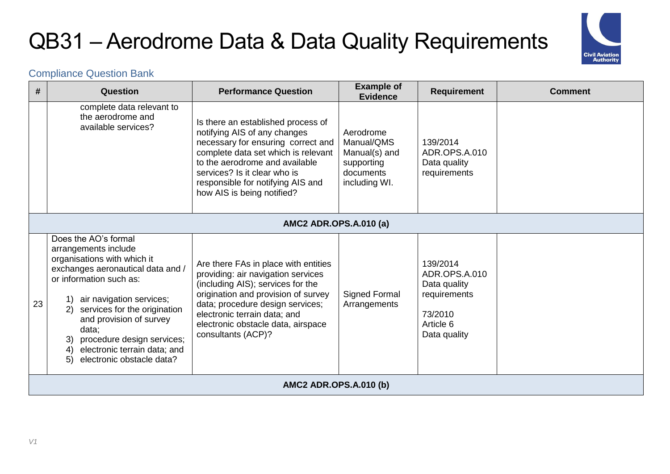

| #  | Question                                                                                                                                                                                                                                                                                                                                                          | <b>Performance Question</b>                                                                                                                                                                                                                                                            | <b>Example of</b><br><b>Evidence</b>                                                 | <b>Requirement</b>                                                                                | <b>Comment</b> |  |  |  |
|----|-------------------------------------------------------------------------------------------------------------------------------------------------------------------------------------------------------------------------------------------------------------------------------------------------------------------------------------------------------------------|----------------------------------------------------------------------------------------------------------------------------------------------------------------------------------------------------------------------------------------------------------------------------------------|--------------------------------------------------------------------------------------|---------------------------------------------------------------------------------------------------|----------------|--|--|--|
|    | complete data relevant to<br>the aerodrome and<br>available services?                                                                                                                                                                                                                                                                                             | Is there an established process of<br>notifying AIS of any changes<br>necessary for ensuring correct and<br>complete data set which is relevant<br>to the aerodrome and available<br>services? Is it clear who is<br>responsible for notifying AIS and<br>how AIS is being notified?   | Aerodrome<br>Manual/QMS<br>Manual(s) and<br>supporting<br>documents<br>including WI. | 139/2014<br>ADR.OPS.A.010<br>Data quality<br>requirements                                         |                |  |  |  |
|    |                                                                                                                                                                                                                                                                                                                                                                   | <b>AMC2 ADR.OPS.A.010 (a)</b>                                                                                                                                                                                                                                                          |                                                                                      |                                                                                                   |                |  |  |  |
| 23 | Does the AO's formal<br>arrangements include<br>organisations with which it<br>exchanges aeronautical data and /<br>or information such as:<br>1) air navigation services;<br>services for the origination<br>2)<br>and provision of survey<br>data:<br>procedure design services;<br>3)<br>electronic terrain data; and<br>4)<br>electronic obstacle data?<br>5) | Are there FAs in place with entities<br>providing: air navigation services<br>(including AIS); services for the<br>origination and provision of survey<br>data; procedure design services;<br>electronic terrain data; and<br>electronic obstacle data, airspace<br>consultants (ACP)? | <b>Signed Formal</b><br>Arrangements                                                 | 139/2014<br>ADR.OPS.A.010<br>Data quality<br>requirements<br>73/2010<br>Article 6<br>Data quality |                |  |  |  |
|    | <b>AMC2 ADR.OPS.A.010 (b)</b>                                                                                                                                                                                                                                                                                                                                     |                                                                                                                                                                                                                                                                                        |                                                                                      |                                                                                                   |                |  |  |  |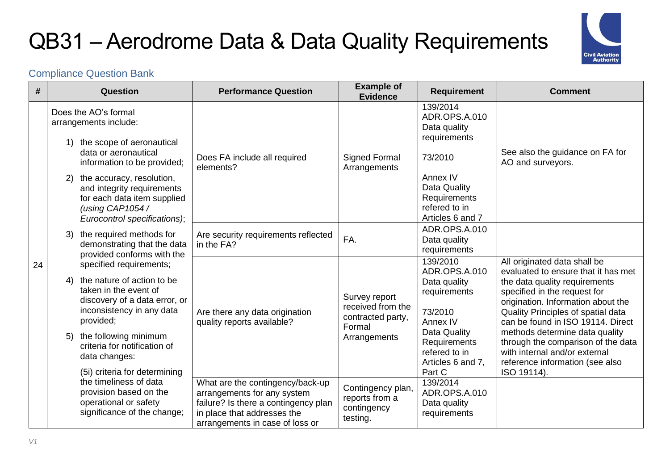

| #  | Question                                                                                                                                                                                                                                                                         | <b>Performance Question</b>                                                                                                                                               | <b>Example of</b><br><b>Evidence</b>                                              | <b>Requirement</b>                                                                                                                                               | <b>Comment</b>                                                                                                                                                                                                                                                                                                                                                                                                   |
|----|----------------------------------------------------------------------------------------------------------------------------------------------------------------------------------------------------------------------------------------------------------------------------------|---------------------------------------------------------------------------------------------------------------------------------------------------------------------------|-----------------------------------------------------------------------------------|------------------------------------------------------------------------------------------------------------------------------------------------------------------|------------------------------------------------------------------------------------------------------------------------------------------------------------------------------------------------------------------------------------------------------------------------------------------------------------------------------------------------------------------------------------------------------------------|
|    | Does the AO's formal<br>arrangements include:<br>1) the scope of aeronautical                                                                                                                                                                                                    |                                                                                                                                                                           |                                                                                   | 139/2014<br>ADR.OPS.A.010<br>Data quality<br>requirements                                                                                                        |                                                                                                                                                                                                                                                                                                                                                                                                                  |
|    | data or aeronautical<br>information to be provided;                                                                                                                                                                                                                              | Does FA include all required<br>elements?                                                                                                                                 | <b>Signed Formal</b><br>Arrangements                                              | 73/2010                                                                                                                                                          | See also the guidance on FA for<br>AO and surveyors.                                                                                                                                                                                                                                                                                                                                                             |
|    | the accuracy, resolution,<br>2)<br>and integrity requirements<br>for each data item supplied<br>(using CAP1054 /<br>Eurocontrol specifications);                                                                                                                                 |                                                                                                                                                                           |                                                                                   | Annex IV<br>Data Quality<br>Requirements<br>refered to in<br>Articles 6 and 7                                                                                    |                                                                                                                                                                                                                                                                                                                                                                                                                  |
|    | the required methods for<br>3)<br>demonstrating that the data<br>provided conforms with the                                                                                                                                                                                      | Are security requirements reflected<br>in the FA?                                                                                                                         | FA.                                                                               | ADR.OPS.A.010<br>Data quality<br>requirements                                                                                                                    |                                                                                                                                                                                                                                                                                                                                                                                                                  |
| 24 | specified requirements;<br>the nature of action to be<br>4)<br>taken in the event of<br>discovery of a data error, or<br>inconsistency in any data<br>provided;<br>the following minimum<br>5)<br>criteria for notification of<br>data changes:<br>(5i) criteria for determining | Are there any data origination<br>quality reports available?                                                                                                              | Survey report<br>received from the<br>contracted party,<br>Formal<br>Arrangements | 139/2010<br>ADR.OPS.A.010<br>Data quality<br>requirements<br>73/2010<br>Annex IV<br>Data Quality<br>Requirements<br>refered to in<br>Articles 6 and 7,<br>Part C | All originated data shall be<br>evaluated to ensure that it has met<br>the data quality requirements<br>specified in the request for<br>origination. Information about the<br>Quality Principles of spatial data<br>can be found in ISO 19114. Direct<br>methods determine data quality<br>through the comparison of the data<br>with internal and/or external<br>reference information (see also<br>ISO 19114). |
|    | the timeliness of data<br>provision based on the<br>operational or safety<br>significance of the change;                                                                                                                                                                         | What are the contingency/back-up<br>arrangements for any system<br>failure? Is there a contingency plan<br>in place that addresses the<br>arrangements in case of loss or | Contingency plan,<br>reports from a<br>contingency<br>testing.                    | 139/2014<br>ADR.OPS.A.010<br>Data quality<br>requirements                                                                                                        |                                                                                                                                                                                                                                                                                                                                                                                                                  |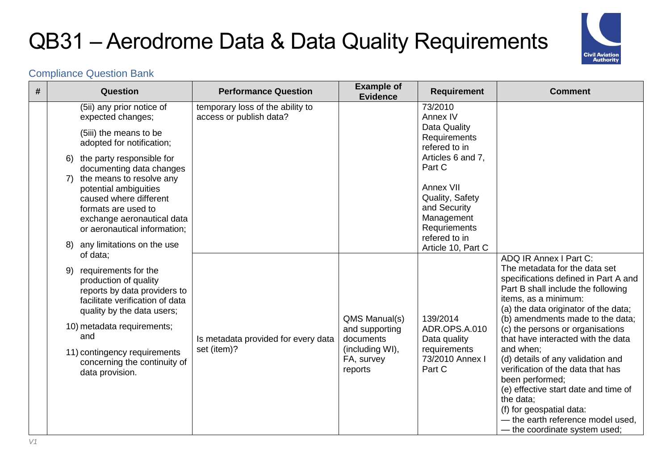

| # | Question                                                                                                                                                            | <b>Performance Question</b>                                 | <b>Example of</b><br><b>Evidence</b>     | <b>Requirement</b>                                                         | <b>Comment</b>                                                                                                                                                                                                                            |
|---|---------------------------------------------------------------------------------------------------------------------------------------------------------------------|-------------------------------------------------------------|------------------------------------------|----------------------------------------------------------------------------|-------------------------------------------------------------------------------------------------------------------------------------------------------------------------------------------------------------------------------------------|
|   | (5ii) any prior notice of<br>expected changes;                                                                                                                      | temporary loss of the ability to<br>access or publish data? |                                          | 73/2010<br>Annex IV                                                        |                                                                                                                                                                                                                                           |
|   | (5iii) the means to be<br>adopted for notification;                                                                                                                 |                                                             |                                          | Data Quality<br>Requirements<br>refered to in                              |                                                                                                                                                                                                                                           |
|   | 6) the party responsible for<br>documenting data changes                                                                                                            |                                                             |                                          | Articles 6 and 7,<br>Part C                                                |                                                                                                                                                                                                                                           |
|   | 7) the means to resolve any<br>potential ambiguities<br>caused where different<br>formats are used to<br>exchange aeronautical data<br>or aeronautical information; |                                                             |                                          | Annex VII<br>Quality, Safety<br>and Security<br>Management<br>Requriements |                                                                                                                                                                                                                                           |
|   | any limitations on the use<br>8)<br>of data;                                                                                                                        |                                                             |                                          | refered to in<br>Article 10, Part C                                        |                                                                                                                                                                                                                                           |
|   | requirements for the<br>9)<br>production of quality<br>reports by data providers to<br>facilitate verification of data<br>quality by the data users;                |                                                             | QMS Manual(s)                            | 139/2014                                                                   | ADQ IR Annex I Part C:<br>The metadata for the data set<br>specifications defined in Part A and<br>Part B shall include the following<br>items, as a minimum:<br>(a) the data originator of the data;<br>(b) amendments made to the data; |
|   | 10) metadata requirements;<br>and                                                                                                                                   | Is metadata provided for every data                         | and supporting<br>documents              | ADR.OPS.A.010<br>Data quality                                              | (c) the persons or organisations<br>that have interacted with the data                                                                                                                                                                    |
|   | 11) contingency requirements<br>concerning the continuity of<br>data provision.                                                                                     | set (item)?                                                 | (including WI),<br>FA, survey<br>reports | requirements<br>73/2010 Annex I<br>Part C                                  | and when;<br>(d) details of any validation and<br>verification of the data that has<br>been performed;<br>(e) effective start date and time of<br>the data:<br>(f) for geospatial data:                                                   |
|   |                                                                                                                                                                     |                                                             |                                          |                                                                            | - the earth reference model used,<br>- the coordinate system used;                                                                                                                                                                        |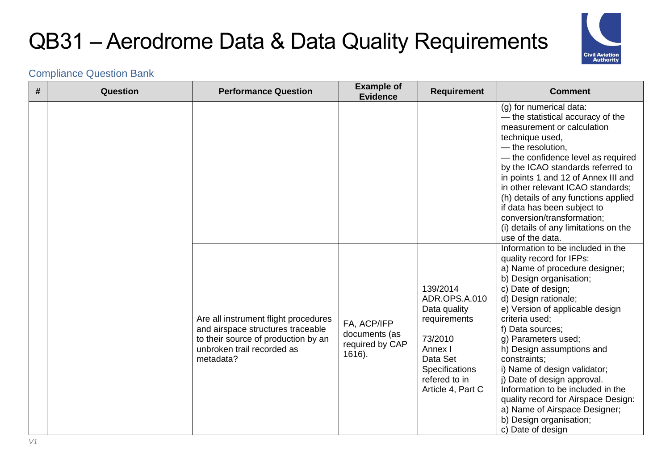

| # | Question | <b>Performance Question</b>                                                                                                                                 | <b>Example of</b><br><b>Evidence</b>                      | <b>Requirement</b>                                                                                                                                         | <b>Comment</b>                                                                                                                                                                                                                                                                                                                                                                                                                                                                                                                                    |
|---|----------|-------------------------------------------------------------------------------------------------------------------------------------------------------------|-----------------------------------------------------------|------------------------------------------------------------------------------------------------------------------------------------------------------------|---------------------------------------------------------------------------------------------------------------------------------------------------------------------------------------------------------------------------------------------------------------------------------------------------------------------------------------------------------------------------------------------------------------------------------------------------------------------------------------------------------------------------------------------------|
|   |          |                                                                                                                                                             |                                                           |                                                                                                                                                            | (g) for numerical data:<br>- the statistical accuracy of the<br>measurement or calculation<br>technique used,<br>- the resolution,<br>- the confidence level as required<br>by the ICAO standards referred to<br>in points 1 and 12 of Annex III and<br>in other relevant ICAO standards;<br>(h) details of any functions applied<br>if data has been subject to<br>conversion/transformation;<br>(i) details of any limitations on the<br>use of the data.                                                                                       |
|   |          | Are all instrument flight procedures<br>and airspace structures traceable<br>to their source of production by an<br>unbroken trail recorded as<br>metadata? | FA, ACP/IFP<br>documents (as<br>required by CAP<br>1616). | 139/2014<br>ADR.OPS.A.010<br>Data quality<br>requirements<br>73/2010<br>Annex I<br>Data Set<br><b>Specifications</b><br>refered to in<br>Article 4, Part C | Information to be included in the<br>quality record for IFPs:<br>a) Name of procedure designer;<br>b) Design organisation;<br>c) Date of design;<br>d) Design rationale;<br>e) Version of applicable design<br>criteria used;<br>f) Data sources;<br>g) Parameters used;<br>h) Design assumptions and<br>constraints;<br>i) Name of design validator;<br>j) Date of design approval.<br>Information to be included in the<br>quality record for Airspace Design:<br>a) Name of Airspace Designer;<br>b) Design organisation;<br>c) Date of design |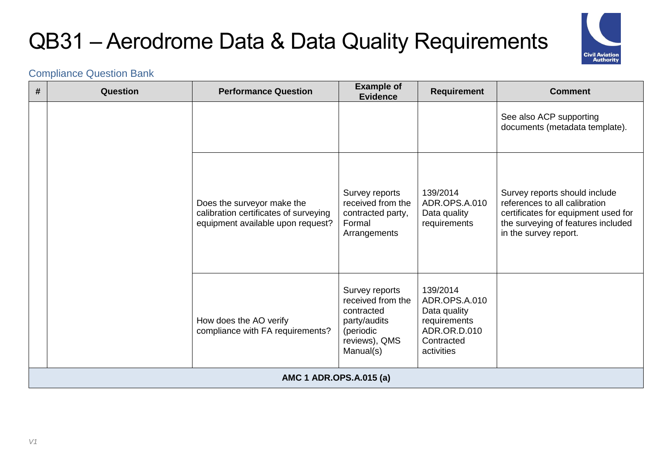

| # | Question | <b>Performance Question</b>                                                                              | <b>Example of</b><br><b>Evidence</b>                                                                         | <b>Requirement</b>                                                                                    | <b>Comment</b>                                                                                                                                                       |
|---|----------|----------------------------------------------------------------------------------------------------------|--------------------------------------------------------------------------------------------------------------|-------------------------------------------------------------------------------------------------------|----------------------------------------------------------------------------------------------------------------------------------------------------------------------|
|   |          |                                                                                                          |                                                                                                              |                                                                                                       | See also ACP supporting<br>documents (metadata template).                                                                                                            |
|   |          | Does the surveyor make the<br>calibration certificates of surveying<br>equipment available upon request? | Survey reports<br>received from the<br>contracted party,<br>Formal<br>Arrangements                           | 139/2014<br>ADR.OPS.A.010<br>Data quality<br>requirements                                             | Survey reports should include<br>references to all calibration<br>certificates for equipment used for<br>the surveying of features included<br>in the survey report. |
|   |          | How does the AO verify<br>compliance with FA requirements?                                               | Survey reports<br>received from the<br>contracted<br>party/audits<br>(periodic<br>reviews), QMS<br>Manual(s) | 139/2014<br>ADR.OPS.A.010<br>Data quality<br>requirements<br>ADR.OR.D.010<br>Contracted<br>activities |                                                                                                                                                                      |
|   |          | AMC 1 ADR.OPS.A.015 (a)                                                                                  |                                                                                                              |                                                                                                       |                                                                                                                                                                      |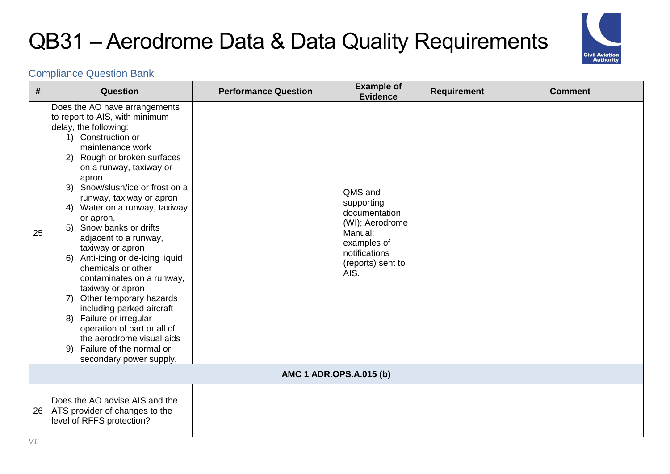

| #  | Question                                                                                                                                                                                                                                                                                                                                                                                                                                                                                                                                                                                                                                                                                                              | <b>Performance Question</b> | <b>Example of</b><br><b>Evidence</b>                                                                                              | <b>Requirement</b> | <b>Comment</b> |  |  |
|----|-----------------------------------------------------------------------------------------------------------------------------------------------------------------------------------------------------------------------------------------------------------------------------------------------------------------------------------------------------------------------------------------------------------------------------------------------------------------------------------------------------------------------------------------------------------------------------------------------------------------------------------------------------------------------------------------------------------------------|-----------------------------|-----------------------------------------------------------------------------------------------------------------------------------|--------------------|----------------|--|--|
| 25 | Does the AO have arrangements<br>to report to AIS, with minimum<br>delay, the following:<br>1) Construction or<br>maintenance work<br>2) Rough or broken surfaces<br>on a runway, taxiway or<br>apron.<br>3) Snow/slush/ice or frost on a<br>runway, taxiway or apron<br>4) Water on a runway, taxiway<br>or apron.<br>5) Snow banks or drifts<br>adjacent to a runway,<br>taxiway or apron<br>6) Anti-icing or de-icing liquid<br>chemicals or other<br>contaminates on a runway,<br>taxiway or apron<br>7) Other temporary hazards<br>including parked aircraft<br>8) Failure or irregular<br>operation of part or all of<br>the aerodrome visual aids<br>Failure of the normal or<br>9)<br>secondary power supply. |                             | QMS and<br>supporting<br>documentation<br>(WI); Aerodrome<br>Manual;<br>examples of<br>notifications<br>(reports) sent to<br>AIS. |                    |                |  |  |
|    | AMC 1 ADR.OPS.A.015 (b)                                                                                                                                                                                                                                                                                                                                                                                                                                                                                                                                                                                                                                                                                               |                             |                                                                                                                                   |                    |                |  |  |
| 26 | Does the AO advise AIS and the<br>ATS provider of changes to the<br>level of RFFS protection?                                                                                                                                                                                                                                                                                                                                                                                                                                                                                                                                                                                                                         |                             |                                                                                                                                   |                    |                |  |  |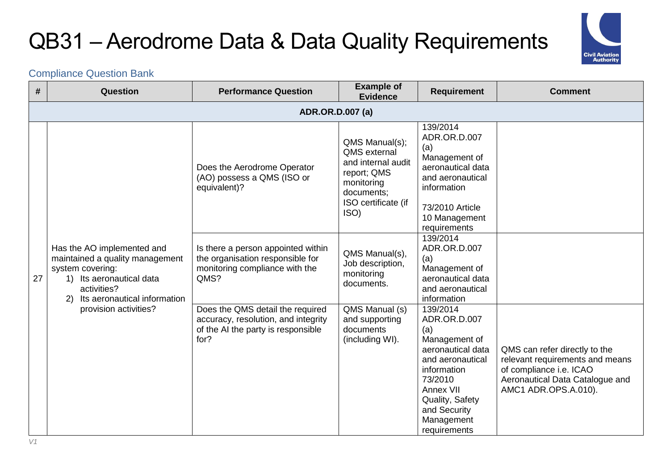

| #  | Question                                                                                                                                                           | <b>Performance Question</b>                                                                                           | <b>Example of</b><br><b>Evidence</b>                                                                                                  | <b>Requirement</b>                                                                                                                                                                                | <b>Comment</b>                                                                                                                                         |  |  |  |  |
|----|--------------------------------------------------------------------------------------------------------------------------------------------------------------------|-----------------------------------------------------------------------------------------------------------------------|---------------------------------------------------------------------------------------------------------------------------------------|---------------------------------------------------------------------------------------------------------------------------------------------------------------------------------------------------|--------------------------------------------------------------------------------------------------------------------------------------------------------|--|--|--|--|
|    | <b>ADR.OR.D.007 (a)</b>                                                                                                                                            |                                                                                                                       |                                                                                                                                       |                                                                                                                                                                                                   |                                                                                                                                                        |  |  |  |  |
|    |                                                                                                                                                                    | Does the Aerodrome Operator<br>(AO) possess a QMS (ISO or<br>equivalent)?                                             | QMS Manual(s);<br><b>QMS</b> external<br>and internal audit<br>report; QMS<br>monitoring<br>documents;<br>ISO certificate (if<br>ISO) | 139/2014<br>ADR.OR.D.007<br>(a)<br>Management of<br>aeronautical data<br>and aeronautical<br>information<br>73/2010 Article<br>10 Management<br>requirements                                      |                                                                                                                                                        |  |  |  |  |
| 27 | Has the AO implemented and<br>maintained a quality management<br>system covering:<br>1) Its aeronautical data<br>activities?<br>Its aeronautical information<br>2) | Is there a person appointed within<br>the organisation responsible for<br>monitoring compliance with the<br>QMS?      | QMS Manual(s),<br>Job description,<br>monitoring<br>documents.                                                                        | 139/2014<br>ADR.OR.D.007<br>(a)<br>Management of<br>aeronautical data<br>and aeronautical<br>information                                                                                          |                                                                                                                                                        |  |  |  |  |
|    | provision activities?                                                                                                                                              | Does the QMS detail the required<br>accuracy, resolution, and integrity<br>of the AI the party is responsible<br>for? | QMS Manual (s)<br>and supporting<br>documents<br>(including WI).                                                                      | 139/2014<br>ADR.OR.D.007<br>(a)<br>Management of<br>aeronautical data<br>and aeronautical<br>information<br>73/2010<br>Annex VII<br>Quality, Safety<br>and Security<br>Management<br>requirements | QMS can refer directly to the<br>relevant requirements and means<br>of compliance i.e. ICAO<br>Aeronautical Data Catalogue and<br>AMC1 ADR.OPS.A.010). |  |  |  |  |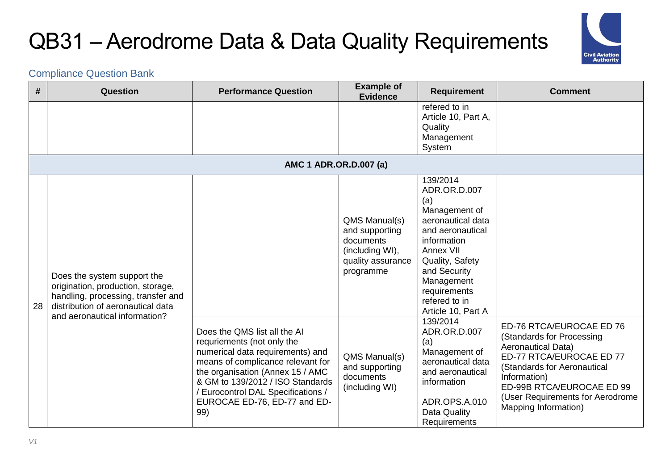

| #  | <b>Question</b>                                                                                                                             | <b>Performance Question</b>                                                                                                                                                                                                                                                              | <b>Example of</b><br><b>Evidence</b>                                                              | <b>Requirement</b>                                                                                                                                                                                                            | <b>Comment</b>                                                                                                                                                                                                                                         |
|----|---------------------------------------------------------------------------------------------------------------------------------------------|------------------------------------------------------------------------------------------------------------------------------------------------------------------------------------------------------------------------------------------------------------------------------------------|---------------------------------------------------------------------------------------------------|-------------------------------------------------------------------------------------------------------------------------------------------------------------------------------------------------------------------------------|--------------------------------------------------------------------------------------------------------------------------------------------------------------------------------------------------------------------------------------------------------|
|    |                                                                                                                                             |                                                                                                                                                                                                                                                                                          |                                                                                                   | refered to in<br>Article 10, Part A,<br>Quality<br>Management<br>System                                                                                                                                                       |                                                                                                                                                                                                                                                        |
|    |                                                                                                                                             | AMC 1 ADR.OR.D.007 (a)                                                                                                                                                                                                                                                                   |                                                                                                   |                                                                                                                                                                                                                               |                                                                                                                                                                                                                                                        |
| 28 | Does the system support the<br>origination, production, storage,<br>handling, processing, transfer and<br>distribution of aeronautical data |                                                                                                                                                                                                                                                                                          | QMS Manual(s)<br>and supporting<br>documents<br>(including WI),<br>quality assurance<br>programme | 139/2014<br>ADR.OR.D.007<br>(a)<br>Management of<br>aeronautical data<br>and aeronautical<br>information<br>Annex VII<br>Quality, Safety<br>and Security<br>Management<br>requirements<br>refered to in<br>Article 10, Part A |                                                                                                                                                                                                                                                        |
|    | and aeronautical information?                                                                                                               | Does the QMS list all the AI<br>requriements (not only the<br>numerical data requirements) and<br>means of complicance relevant for<br>the organisation (Annex 15 / AMC<br>& GM to 139/2012 / ISO Standards<br>/ Eurocontrol DAL Specifications /<br>EUROCAE ED-76, ED-77 and ED-<br>99) | QMS Manual(s)<br>and supporting<br>documents<br>(including WI)                                    | 139/2014<br>ADR.OR.D.007<br>(a)<br>Management of<br>aeronautical data<br>and aeronautical<br>information<br>ADR.OPS.A.010<br>Data Quality<br>Requirements                                                                     | ED-76 RTCA/EUROCAE ED 76<br>(Standards for Processing<br><b>Aeronautical Data)</b><br>ED-77 RTCA/EUROCAE ED 77<br>(Standards for Aeronautical<br>Information)<br>ED-99B RTCA/EUROCAE ED 99<br>(User Requirements for Aerodrome<br>Mapping Information) |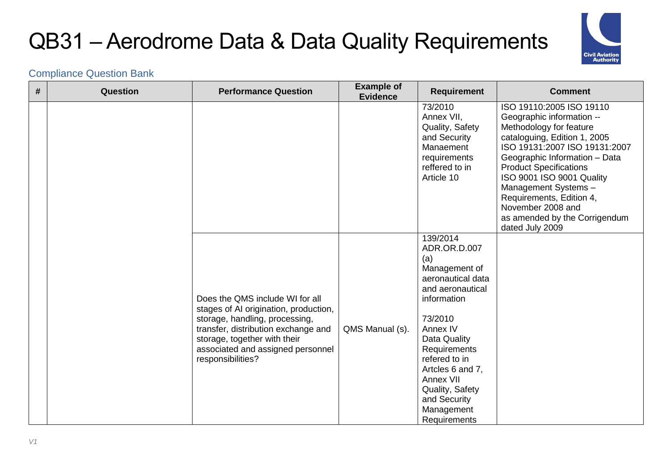

| # | Question | <b>Performance Question</b>                                                                                                                                                                                                                 | <b>Example of</b><br><b>Evidence</b> | <b>Requirement</b>                                                                                                                                                                                                                                                                 | <b>Comment</b>                                                                                                                                                                                                                                                                                                                                                               |
|---|----------|---------------------------------------------------------------------------------------------------------------------------------------------------------------------------------------------------------------------------------------------|--------------------------------------|------------------------------------------------------------------------------------------------------------------------------------------------------------------------------------------------------------------------------------------------------------------------------------|------------------------------------------------------------------------------------------------------------------------------------------------------------------------------------------------------------------------------------------------------------------------------------------------------------------------------------------------------------------------------|
|   |          |                                                                                                                                                                                                                                             |                                      | 73/2010<br>Annex VII,<br>Quality, Safety<br>and Security<br>Manaement<br>requirements<br>reffered to in<br>Article 10                                                                                                                                                              | ISO 19110:2005 ISO 19110<br>Geographic information --<br>Methodology for feature<br>cataloguing, Edition 1, 2005<br>ISO 19131:2007 ISO 19131:2007<br>Geographic Information - Data<br><b>Product Specifications</b><br>ISO 9001 ISO 9001 Quality<br>Management Systems-<br>Requirements, Edition 4,<br>November 2008 and<br>as amended by the Corrigendum<br>dated July 2009 |
|   |          | Does the QMS include WI for all<br>stages of AI origination, production,<br>storage, handling, processing,<br>transfer, distribution exchange and<br>storage, together with their<br>associated and assigned personnel<br>responsibilities? | QMS Manual (s).                      | 139/2014<br>ADR.OR.D.007<br>(a)<br>Management of<br>aeronautical data<br>and aeronautical<br>information<br>73/2010<br>Annex IV<br>Data Quality<br>Requirements<br>refered to in<br>Artcles 6 and 7,<br>Annex VII<br>Quality, Safety<br>and Security<br>Management<br>Requirements |                                                                                                                                                                                                                                                                                                                                                                              |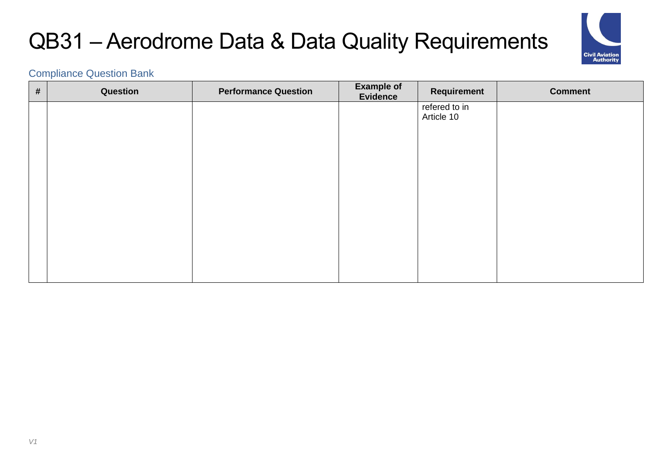

| $\pmb{\#}$ | Question | <b>Performance Question</b> | <b>Example of</b><br>Evidence | <b>Requirement</b>          | <b>Comment</b> |
|------------|----------|-----------------------------|-------------------------------|-----------------------------|----------------|
|            |          |                             |                               | refered to in<br>Article 10 |                |
|            |          |                             |                               |                             |                |
|            |          |                             |                               |                             |                |
|            |          |                             |                               |                             |                |
|            |          |                             |                               |                             |                |
|            |          |                             |                               |                             |                |
|            |          |                             |                               |                             |                |
|            |          |                             |                               |                             |                |
|            |          |                             |                               |                             |                |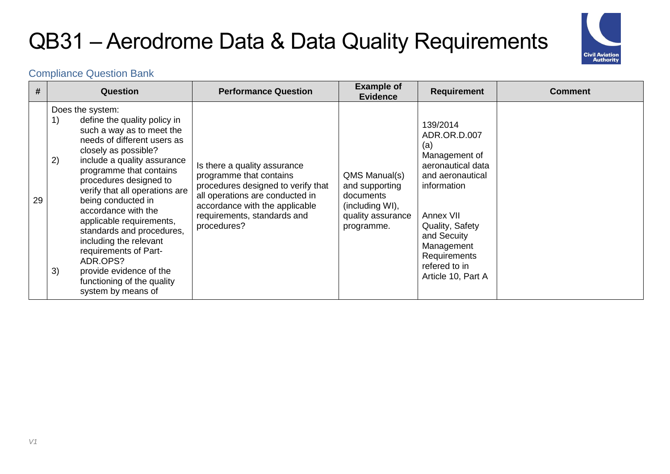

| #  | <b>Question</b>                                                                                                                                                                                                                                                                                                                                                                                                                                                                                                                  | <b>Performance Question</b>                                                                                                                                                                                      | <b>Example of</b><br><b>Evidence</b>                                                               | <b>Requirement</b>                                                                                                                                                                                                           | <b>Comment</b> |
|----|----------------------------------------------------------------------------------------------------------------------------------------------------------------------------------------------------------------------------------------------------------------------------------------------------------------------------------------------------------------------------------------------------------------------------------------------------------------------------------------------------------------------------------|------------------------------------------------------------------------------------------------------------------------------------------------------------------------------------------------------------------|----------------------------------------------------------------------------------------------------|------------------------------------------------------------------------------------------------------------------------------------------------------------------------------------------------------------------------------|----------------|
| 29 | Does the system:<br>define the quality policy in<br>1)<br>such a way as to meet the<br>needs of different users as<br>closely as possible?<br>2)<br>include a quality assurance<br>programme that contains<br>procedures designed to<br>verify that all operations are<br>being conducted in<br>accordance with the<br>applicable requirements,<br>standards and procedures,<br>including the relevant<br>requirements of Part-<br>ADR.OPS?<br>3)<br>provide evidence of the<br>functioning of the quality<br>system by means of | Is there a quality assurance<br>programme that contains<br>procedures designed to verify that<br>all operations are conducted in<br>accordance with the applicable<br>requirements, standards and<br>procedures? | QMS Manual(s)<br>and supporting<br>documents<br>(including WI),<br>quality assurance<br>programme. | 139/2014<br>ADR.OR.D.007<br>(a)<br>Management of<br>aeronautical data<br>and aeronautical<br>information<br>Annex VII<br>Quality, Safety<br>and Secuity<br>Management<br>Requirements<br>refered to in<br>Article 10, Part A |                |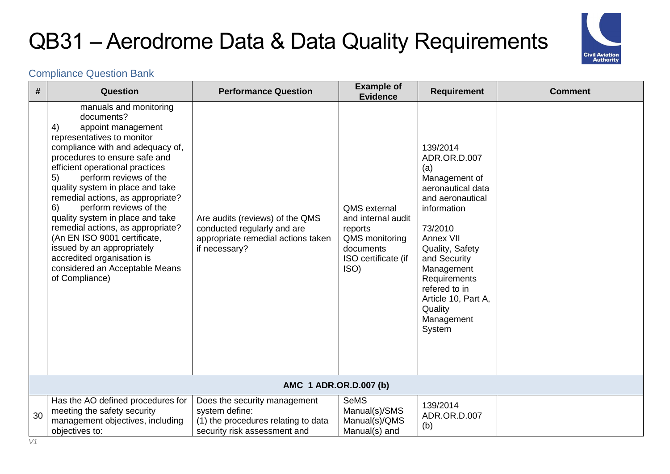

| #  | Question                                                                                                                                                                                                                                                                                                                                                                                                                                                                                                                                                                 | <b>Performance Question</b>                                                                                           | <b>Example of</b><br><b>Evidence</b>                                                                        | <b>Requirement</b>                                                                                                                                                                                                                                                           | <b>Comment</b> |  |  |  |
|----|--------------------------------------------------------------------------------------------------------------------------------------------------------------------------------------------------------------------------------------------------------------------------------------------------------------------------------------------------------------------------------------------------------------------------------------------------------------------------------------------------------------------------------------------------------------------------|-----------------------------------------------------------------------------------------------------------------------|-------------------------------------------------------------------------------------------------------------|------------------------------------------------------------------------------------------------------------------------------------------------------------------------------------------------------------------------------------------------------------------------------|----------------|--|--|--|
|    | manuals and monitoring<br>documents?<br>4)<br>appoint management<br>representatives to monitor<br>compliance with and adequacy of,<br>procedures to ensure safe and<br>efficient operational practices<br>perform reviews of the<br>5)<br>quality system in place and take<br>remedial actions, as appropriate?<br>perform reviews of the<br>6)<br>quality system in place and take<br>remedial actions, as appropriate?<br>(An EN ISO 9001 certificate,<br>issued by an appropriately<br>accredited organisation is<br>considered an Acceptable Means<br>of Compliance) | Are audits (reviews) of the QMS<br>conducted regularly and are<br>appropriate remedial actions taken<br>if necessary? | QMS external<br>and internal audit<br>reports<br>QMS monitoring<br>documents<br>ISO certificate (if<br>ISO) | 139/2014<br>ADR.OR.D.007<br>(a)<br>Management of<br>aeronautical data<br>and aeronautical<br>information<br>73/2010<br>Annex VII<br>Quality, Safety<br>and Security<br>Management<br>Requirements<br>refered to in<br>Article 10, Part A,<br>Quality<br>Management<br>System |                |  |  |  |
|    | AMC 1 ADR.OR.D.007 (b)                                                                                                                                                                                                                                                                                                                                                                                                                                                                                                                                                   |                                                                                                                       |                                                                                                             |                                                                                                                                                                                                                                                                              |                |  |  |  |
| 30 | Has the AO defined procedures for<br>meeting the safety security<br>management objectives, including<br>objectives to:                                                                                                                                                                                                                                                                                                                                                                                                                                                   | Does the security management<br>system define:<br>(1) the procedures relating to data<br>security risk assessment and | <b>SeMS</b><br>Manual(s)/SMS<br>Manual(s)/QMS<br>Manual(s) and                                              | 139/2014<br>ADR.OR.D.007<br>(b)                                                                                                                                                                                                                                              |                |  |  |  |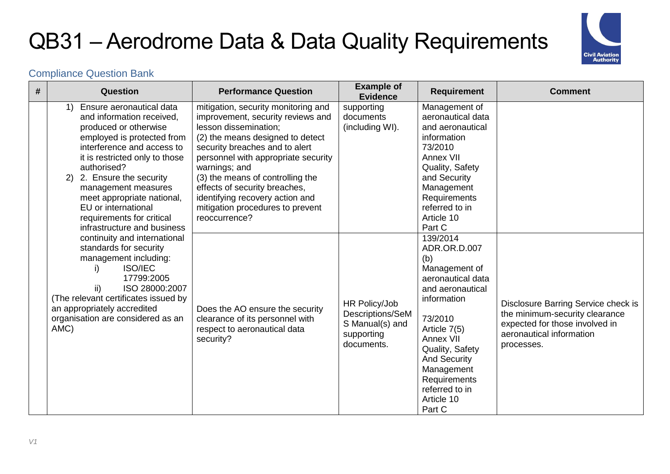

| # | Question                                                                                                                                                                                                                                                                                                                                                               | <b>Performance Question</b>                                                                                                                                                                                                                                                                                                                                                                  | <b>Example of</b><br><b>Evidence</b>                                             | <b>Requirement</b>                                                                                                                                                                                                                                                 | <b>Comment</b>                                                                                                                                    |
|---|------------------------------------------------------------------------------------------------------------------------------------------------------------------------------------------------------------------------------------------------------------------------------------------------------------------------------------------------------------------------|----------------------------------------------------------------------------------------------------------------------------------------------------------------------------------------------------------------------------------------------------------------------------------------------------------------------------------------------------------------------------------------------|----------------------------------------------------------------------------------|--------------------------------------------------------------------------------------------------------------------------------------------------------------------------------------------------------------------------------------------------------------------|---------------------------------------------------------------------------------------------------------------------------------------------------|
|   | 1) Ensure aeronautical data<br>and information received,<br>produced or otherwise<br>employed is protected from<br>interference and access to<br>it is restricted only to those<br>authorised?<br>2. Ensure the security<br>2)<br>management measures<br>meet appropriate national,<br>EU or international<br>requirements for critical<br>infrastructure and business | mitigation, security monitoring and<br>improvement, security reviews and<br>lesson dissemination;<br>(2) the means designed to detect<br>security breaches and to alert<br>personnel with appropriate security<br>warnings; and<br>(3) the means of controlling the<br>effects of security breaches,<br>identifying recovery action and<br>mitigation procedures to prevent<br>reoccurrence? | supporting<br>documents<br>(including WI).                                       | Management of<br>aeronautical data<br>and aeronautical<br>information<br>73/2010<br>Annex VII<br>Quality, Safety<br>and Security<br>Management<br>Requirements<br>referred to in<br>Article 10<br>Part C                                                           |                                                                                                                                                   |
|   | continuity and international<br>standards for security<br>management including:<br><b>ISO/IEC</b><br>i)<br>17799:2005<br>ii)<br>ISO 28000:2007<br>(The relevant certificates issued by<br>an appropriately accredited<br>organisation are considered as an<br>AMC)                                                                                                     | Does the AO ensure the security<br>clearance of its personnel with<br>respect to aeronautical data<br>security?                                                                                                                                                                                                                                                                              | HR Policy/Job<br>Descriptions/SeM<br>S Manual(s) and<br>supporting<br>documents. | 139/2014<br>ADR.OR.D.007<br>(b)<br>Management of<br>aeronautical data<br>and aeronautical<br>information<br>73/2010<br>Article 7(5)<br>Annex VII<br>Quality, Safety<br><b>And Security</b><br>Management<br>Requirements<br>referred to in<br>Article 10<br>Part C | Disclosure Barring Service check is<br>the minimum-security clearance<br>expected for those involved in<br>aeronautical information<br>processes. |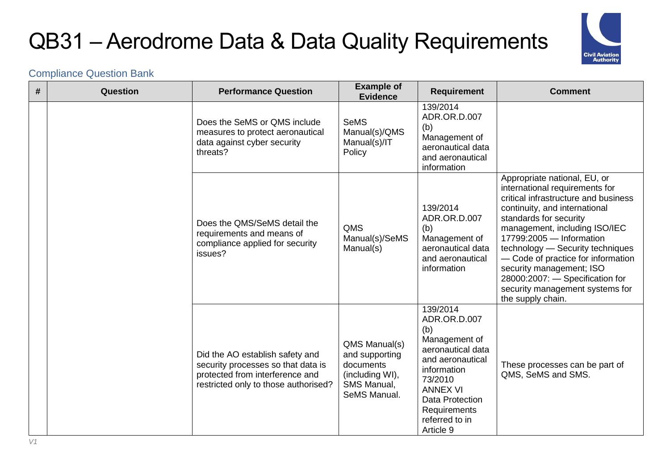

| # | <b>Question</b> | <b>Performance Question</b>                                                                                                                      | <b>Example of</b><br><b>Evidence</b>                                                           | <b>Requirement</b>                                                                                                                                                                                              | <b>Comment</b>                                                                                                                                                                                                                                                                                                                                                                                                                  |
|---|-----------------|--------------------------------------------------------------------------------------------------------------------------------------------------|------------------------------------------------------------------------------------------------|-----------------------------------------------------------------------------------------------------------------------------------------------------------------------------------------------------------------|---------------------------------------------------------------------------------------------------------------------------------------------------------------------------------------------------------------------------------------------------------------------------------------------------------------------------------------------------------------------------------------------------------------------------------|
|   |                 | Does the SeMS or QMS include<br>measures to protect aeronautical<br>data against cyber security<br>threats?                                      | <b>SeMS</b><br>Manual(s)/QMS<br>Manual(s)/IT<br>Policy                                         | 139/2014<br>ADR.OR.D.007<br>(b)<br>Management of<br>aeronautical data<br>and aeronautical<br>information                                                                                                        |                                                                                                                                                                                                                                                                                                                                                                                                                                 |
|   |                 | Does the QMS/SeMS detail the<br>requirements and means of<br>compliance applied for security<br>issues?                                          | <b>QMS</b><br>Manual(s)/SeMS<br>Manual(s)                                                      | 139/2014<br>ADR.OR.D.007<br>(b)<br>Management of<br>aeronautical data<br>and aeronautical<br>information                                                                                                        | Appropriate national, EU, or<br>international requirements for<br>critical infrastructure and business<br>continuity, and international<br>standards for security<br>management, including ISO/IEC<br>17799:2005 - Information<br>technology - Security techniques<br>- Code of practice for information<br>security management; ISO<br>28000:2007: - Specification for<br>security management systems for<br>the supply chain. |
|   |                 | Did the AO establish safety and<br>security processes so that data is<br>protected from interference and<br>restricted only to those authorised? | QMS Manual(s)<br>and supporting<br>documents<br>(including WI),<br>SMS Manual,<br>SeMS Manual. | 139/2014<br>ADR.OR.D.007<br>(b)<br>Management of<br>aeronautical data<br>and aeronautical<br>information<br>73/2010<br><b>ANNEX VI</b><br><b>Data Protection</b><br>Requirements<br>referred to in<br>Article 9 | These processes can be part of<br>QMS, SeMS and SMS.                                                                                                                                                                                                                                                                                                                                                                            |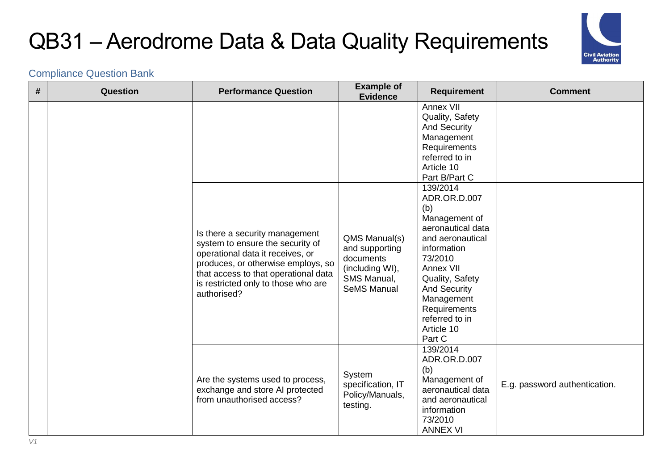

| # | Question | <b>Performance Question</b>                                                                                                                                                                                                                | <b>Example of</b><br><b>Evidence</b>                                                                 | <b>Requirement</b>                                                                                                                                                                                                                                                                                                                             | <b>Comment</b>                |
|---|----------|--------------------------------------------------------------------------------------------------------------------------------------------------------------------------------------------------------------------------------------------|------------------------------------------------------------------------------------------------------|------------------------------------------------------------------------------------------------------------------------------------------------------------------------------------------------------------------------------------------------------------------------------------------------------------------------------------------------|-------------------------------|
|   |          | Is there a security management<br>system to ensure the security of<br>operational data it receives, or<br>produces, or otherwise employs, so<br>that access to that operational data<br>is restricted only to those who are<br>authorised? | QMS Manual(s)<br>and supporting<br>documents<br>(including WI),<br>SMS Manual,<br><b>SeMS Manual</b> | Annex VII<br>Quality, Safety<br><b>And Security</b><br>Management<br>Requirements<br>referred to in<br>Article 10<br>Part B/Part C<br>139/2014<br>ADR.OR.D.007<br>(b)<br>Management of<br>aeronautical data<br>and aeronautical<br>information<br>73/2010<br>Annex VII<br>Quality, Safety<br><b>And Security</b><br>Management<br>Requirements |                               |
|   |          | Are the systems used to process,                                                                                                                                                                                                           | System<br>specification, IT                                                                          | referred to in<br>Article 10<br>Part C<br>139/2014<br>ADR.OR.D.007<br>(b)<br>Management of<br>aeronautical data                                                                                                                                                                                                                                | E.g. password authentication. |
|   |          | exchange and store AI protected<br>from unauthorised access?                                                                                                                                                                               | Policy/Manuals,<br>testing.                                                                          | and aeronautical<br>information<br>73/2010<br><b>ANNEX VI</b>                                                                                                                                                                                                                                                                                  |                               |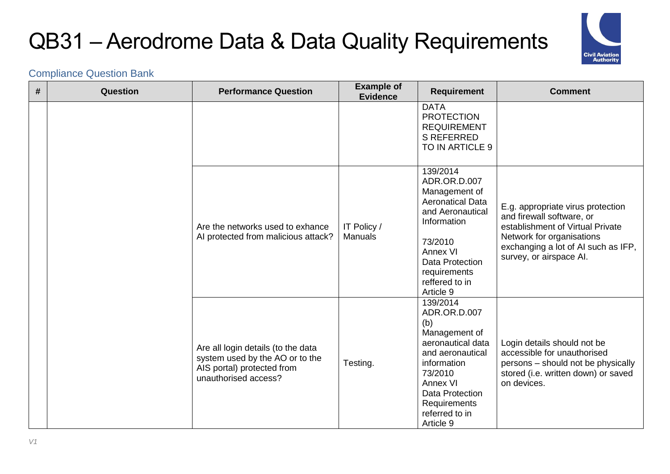

| # | Question | <b>Performance Question</b>                                                                                                 | <b>Example of</b><br><b>Evidence</b> | <b>Requirement</b>                                                                                                                                                                                       | <b>Comment</b>                                                                                                                                                                                    |
|---|----------|-----------------------------------------------------------------------------------------------------------------------------|--------------------------------------|----------------------------------------------------------------------------------------------------------------------------------------------------------------------------------------------------------|---------------------------------------------------------------------------------------------------------------------------------------------------------------------------------------------------|
|   |          |                                                                                                                             |                                      | <b>DATA</b><br><b>PROTECTION</b><br><b>REQUIREMENT</b><br><b>S REFERRED</b><br>TO IN ARTICLE 9                                                                                                           |                                                                                                                                                                                                   |
|   |          | Are the networks used to exhance<br>Al protected from malicious attack?                                                     | IT Policy /<br>Manuals               | 139/2014<br>ADR.OR.D.007<br>Management of<br><b>Aeronatical Data</b><br>and Aeronautical<br>Information<br>73/2010<br>Annex VI<br>Data Protection<br>requirements<br>reffered to in<br>Article 9         | E.g. appropriate virus protection<br>and firewall software, or<br>establishment of Virtual Private<br>Network for organisations<br>exchanging a lot of AI such as IFP,<br>survey, or airspace Al. |
|   |          | Are all login details (to the data<br>system used by the AO or to the<br>AIS portal) protected from<br>unauthorised access? | Testing.                             | 139/2014<br>ADR.OR.D.007<br>(b)<br>Management of<br>aeronautical data<br>and aeronautical<br>information<br>73/2010<br>Annex VI<br><b>Data Protection</b><br>Requirements<br>referred to in<br>Article 9 | Login details should not be<br>accessible for unauthorised<br>persons – should not be physically<br>stored (i.e. written down) or saved<br>on devices.                                            |